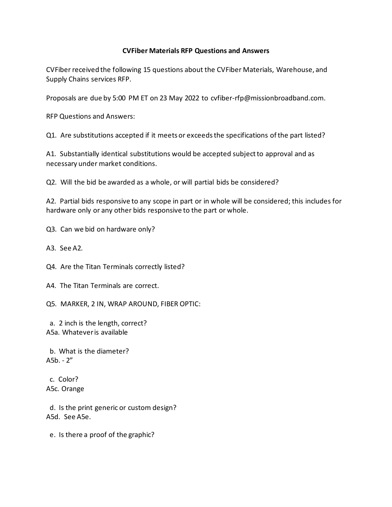## **CVFiber Materials RFP Questions and Answers**

CVFiber received the following 15 questions about the CVFiber Materials, Warehouse, and Supply Chains services RFP.

Proposals are due by 5:00 PM ET on 23 May 2022 to cvfiber-rfp@missionbroadband.com.

RFP Questions and Answers:

Q1. Are substitutions accepted if it meets or exceeds the specifications of the part listed?

A1. Substantially identical substitutions would be accepted subject to approval and as necessary under market conditions.

Q2. Will the bid be awarded as a whole, or will partial bids be considered?

A2. Partial bids responsive to any scope in part or in whole will be considered; this includes for hardware only or any other bids responsive to the part or whole.

Q3. Can we bid on hardware only?

A3. See A2.

Q4. Are the Titan Terminals correctly listed?

A4. The Titan Terminals are correct.

Q5. MARKER, 2 IN, WRAP AROUND, FIBER OPTIC:

 a. 2 inch is the length, correct? A5a. Whatever is available

 b. What is the diameter? A5b. - 2"

 c. Color? A5c. Orange

 d. Is the print generic or custom design? A5d. See A5e.

e. Is there a proof of the graphic?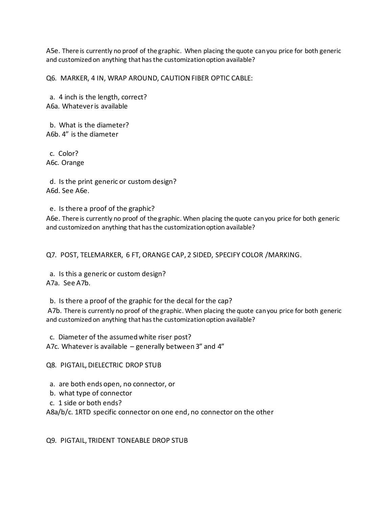A5e. There is currently no proof of the graphic. When placing the quote can you price for both generic and customized on anything that has the customization option available?

Q6. MARKER, 4 IN, WRAP AROUND, CAUTION FIBER OPTIC CABLE:

 a. 4 inch is the length, correct? A6a. Whatever is available

 b. What is the diameter? A6b. 4" is the diameter

 c. Color? A6c. Orange

 d. Is the print generic or custom design? A6d. See A6e.

e. Is there a proof of the graphic?

A6e. There is currently no proof of the graphic. When placing the quote can you price for both generic and customized on anything that has the customization option available?

Q7. POST, TELEMARKER, 6 FT, ORANGE CAP, 2 SIDED, SPECIFY COLOR /MARKING.

 a. Is this a generic or custom design? A7a. See A7b.

b. Is there a proof of the graphic for the decal for the cap?

A7b. There is currently no proof of the graphic. When placing the quote can you price for both generic and customized on anything that has the customization option available?

c. Diameter of the assumed white riser post?

A7c. Whatever is available – generally between 3" and 4"

Q8. PIGTAIL, DIELECTRIC DROP STUB

a. are both ends open, no connector, or

b. what type of connector

c. 1 side or both ends?

A8a/b/c. 1RTD specific connector on one end, no connector on the other

Q9. PIGTAIL, TRIDENT TONEABLE DROP STUB